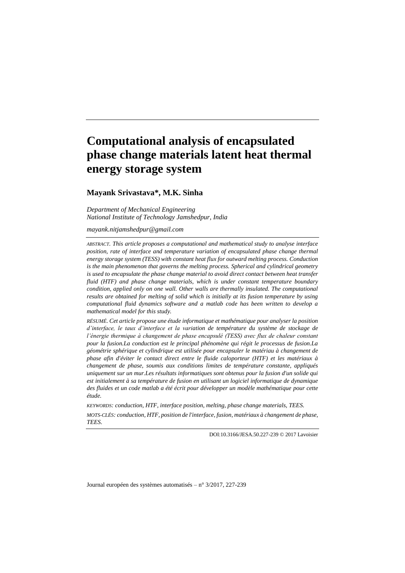# **Computational analysis of encapsulated phase change materials latent heat thermal energy storage system**

## **Mayank Srivastava\*, M.K. Sinha**

*Department of Mechanical Engineering National Institute of Technology Jamshedpur, India*

*mayank.nitjamshedpur@gmail.com*

*ABSTRACT. This article proposes a computational and mathematical study to analyse interface position, rate of interface and temperature variation of encapsulated phase change thermal energy storage system (TESS) with constant heat flux for outward melting process. Conduction is the main phenomenon that governs the melting process. Spherical and cylindrical geometry is used to encapsulate the phase change material to avoid direct contact between heat transfer fluid (HTF) and phase change materials, which is under constant temperature boundary condition, applied only on one wall. Other walls are thermally insulated. The computational results are obtained for melting of solid which is initially at its fusion temperature by using computational fluid dynamics software and a matlab code has been written to develop a mathematical model for this study.*

*RÉSUMÉ. Cet article propose une étude informatique et mathématique pour analyser la position d'interface, le taux d'interface et la variation de température du système de stockage de l'énergie thermique à changement de phase encapsulé (TESS) avec flux de chaleur constant pour la fusion.La conduction est le principal phénomène qui régit le processus de fusion.La géométrie sphérique et cylindrique est utilisée pour encapsuler le matériau à changement de phase afin d'éviter le contact direct entre le fluide caloporteur (HTF) et les matériaux à changement de phase, soumis aux conditions limites de température constante, appliqués uniquement sur un mur.Les résultats informatiques sont obtenus pour la fusion d'un solide qui est initialement à sa température de fusion en utilisant un logiciel informatique de dynamique des fluides et un code matlab a été écrit pour développer un modèle mathématique pour cette étude.*

*KEYWORDS: conduction, HTF, interface position, melting, phase change materials, TEES. MOTS-CLÉS: conduction, HTF, position de l'interface, fusion, matériaux à changement de phase, TEES.*

DOI:10.3166/JESA.50.227-239 © 2017 Lavoisier

Journal européen des systèmes automatisés – n°3/2017, 227-239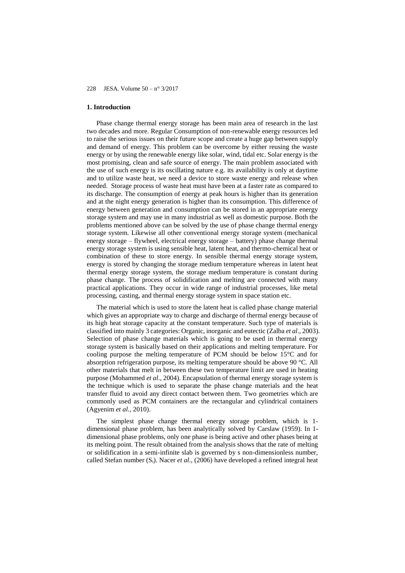## **1. Introduction**

Phase change thermal energy storage has been main area of research in the last two decades and more. Regular Consumption of non-renewable energy resources led to raise the serious issues on their future scope and create a huge gap between supply and demand of energy. This problem can be overcome by either reusing the waste energy or by using the renewable energy like solar, wind, tidal etc. Solar energy is the most promising, clean and safe source of energy. The main problem associated with the use of such energy is its oscillating nature e.g. its availability is only at daytime and to utilize waste heat, we need a device to store waste energy and release when needed. Storage process of waste heat must have been at a faster rate as compared to its discharge. The consumption of energy at peak hours is higher than its generation and at the night energy generation is higher than its consumption. This difference of energy between generation and consumption can be stored in an appropriate energy storage system and may use in many industrial as well as domestic purpose. Both the problems mentioned above can be solved by the use of phase change thermal energy storage system. Likewise all other conventional energy storage system (mechanical energy storage – flywheel, electrical energy storage – battery) phase change thermal energy storage system is using sensible heat, latent heat, and thermo-chemical heat or combination of these to store energy. In sensible thermal energy storage system, energy is stored by changing the storage medium temperature whereas in latent heat thermal energy storage system, the storage medium temperature is constant during phase change. The process of solidification and melting are connected with many practical applications. They occur in wide range of industrial processes, like metal processing, casting, and thermal energy storage system in space station etc.

The material which is used to store the latent heat is called phase change material which gives an appropriate way to charge and discharge of thermal energy because of its high heat storage capacity at the constant temperature. Such type of materials is classified into mainly 3 categories: Organic, inorganic and eutectic (Zalba *et al*., 2003). Selection of phase change materials which is going to be used in thermal energy storage system is basically based on their applications and melting temperature. For cooling purpose the melting temperature of PCM should be below 15°C and for absorption refrigeration purpose, its melting temperature should be above 90 °C. All other materials that melt in between these two temperature limit are used in heating purpose (Mohammed *et al*., 2004). Encapsulation of thermal energy storage system is the technique which is used to separate the phase change materials and the heat transfer fluid to avoid any direct contact between them. Two geometries which are commonly used as PCM containers are the rectangular and cylindrical containers (Agyenim *et al*., 2010).

The simplest phase change thermal energy storage problem, which is 1 dimensional phase problem, has been analytically solved by Carslaw (1959). In 1 dimensional phase problems, only one phase is being active and other phases being at its melting point. The result obtained from the analysis shows that the rate of melting or solidification in a semi-infinite slab is governed by s non-dimensionless number, called Stefan number (St). Nacer *et al*., (2006) have developed a refined integral heat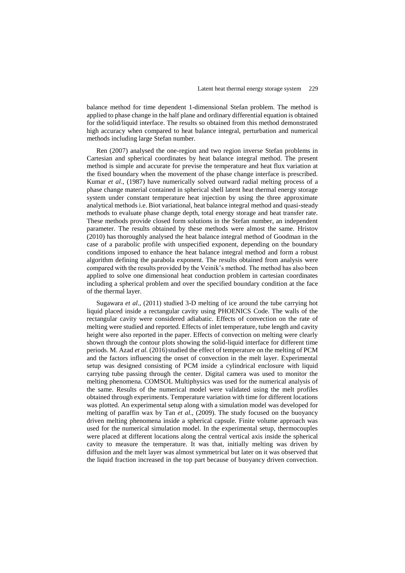balance method for time dependent 1-dimensional Stefan problem. The method is applied to phase change in the half plane and ordinary differential equation is obtained for the solid/liquid interface. The results so obtained from this method demonstrated high accuracy when compared to heat balance integral, perturbation and numerical methods including large Stefan number.

Ren (2007) analysed the one-region and two region inverse Stefan problems in Cartesian and spherical coordinates by heat balance integral method. The present method is simple and accurate for previse the temperature and heat flux variation at the fixed boundary when the movement of the phase change interface is prescribed. Kumar *et al*., (1987) have numerically solved outward radial melting process of a phase change material contained in spherical shell latent heat thermal energy storage system under constant temperature heat injection by using the three approximate analytical methods i.e. Biot variational, heat balance integral method and quasi-steady methods to evaluate phase change depth, total energy storage and heat transfer rate. These methods provide closed form solutions in the Stefan number, an independent parameter. The results obtained by these methods were almost the same. Hristov (2010) has thoroughly analysed the heat balance integral method of Goodman in the case of a parabolic profile with unspecified exponent, depending on the boundary conditions imposed to enhance the heat balance integral method and form a robust algorithm defining the parabola exponent. The results obtained from analysis were compared with the results provided by the Veinik's method. The method has also been applied to solve one dimensional heat conduction problem in cartesian coordinates including a spherical problem and over the specified boundary condition at the face of the thermal layer.

Sugawara *et al*., (2011) studied 3-D melting of ice around the tube carrying hot liquid placed inside a rectangular cavity using PHOENICS Code. The walls of the rectangular cavity were considered adiabatic. Effects of convection on the rate of melting were studied and reported. Effects of inlet temperature, tube length and cavity height were also reported in the paper. Effects of convection on melting were clearly shown through the contour plots showing the solid-liquid interface for different time periods. M. Azad *et al.* (2016) studied the effect of temperature on the melting of PCM and the factors influencing the onset of convection in the melt layer. Experimental setup was designed consisting of PCM inside a cylindrical enclosure with liquid carrying tube passing through the center. Digital camera was used to monitor the melting phenomena. COMSOL Multiphysics was used for the numerical analysis of the same. Results of the numerical model were validated using the melt profiles obtained through experiments. Temperature variation with time for different locations was plotted. An experimental setup along with a simulation model was developed for melting of paraffin wax by Tan *et al*., (2009). The study focused on the buoyancy driven melting phenomena inside a spherical capsule. Finite volume approach was used for the numerical simulation model. In the experimental setup, thermocouples were placed at different locations along the central vertical axis inside the spherical cavity to measure the temperature. It was that, initially melting was driven by diffusion and the melt layer was almost symmetrical but later on it was observed that the liquid fraction increased in the top part because of buoyancy driven convection.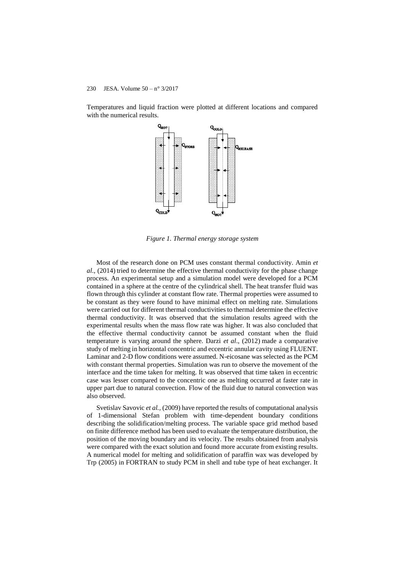Temperatures and liquid fraction were plotted at different locations and compared with the numerical results.



*Figure 1. Thermal energy storage system*

Most of the research done on PCM uses constant thermal conductivity. Amin *et al*., (2014) tried to determine the effective thermal conductivity for the phase change process. An experimental setup and a simulation model were developed for a PCM contained in a sphere at the centre of the cylindrical shell. The heat transfer fluid was flown through this cylinder at constant flow rate. Thermal properties were assumed to be constant as they were found to have minimal effect on melting rate. Simulations were carried out for different thermal conductivities to thermal determine the effective thermal conductivity. It was observed that the simulation results agreed with the experimental results when the mass flow rate was higher. It was also concluded that the effective thermal conductivity cannot be assumed constant when the fluid temperature is varying around the sphere. Darzi *et al*., (2012) made a comparative study of melting in horizontal concentric and eccentric annular cavity using FLUENT. Laminar and 2-D flow conditions were assumed. N-eicosane was selected as the PCM with constant thermal properties. Simulation was run to observe the movement of the interface and the time taken for melting. It was observed that time taken in eccentric case was lesser compared to the concentric one as melting occurred at faster rate in upper part due to natural convection. Flow of the fluid due to natural convection was also observed.

Svetislav Savovic *et al.,* (2009) have reported the results of computational analysis of 1-dimensional Stefan problem with time-dependent boundary conditions describing the solidification/melting process. The variable space grid method based on finite difference method has been used to evaluate the temperature distribution, the position of the moving boundary and its velocity. The results obtained from analysis were compared with the exact solution and found more accurate from existing results. A numerical model for melting and solidification of paraffin wax was developed by Trp (2005) in FORTRAN to study PCM in shell and tube type of heat exchanger. It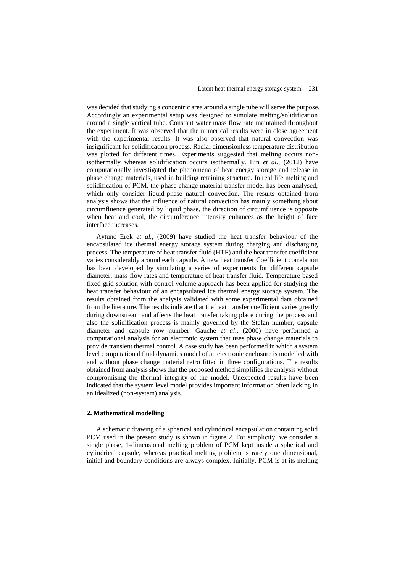was decided that studying a concentric area around a single tube will serve the purpose. Accordingly an experimental setup was designed to simulate melting/solidification around a single vertical tube. Constant water mass flow rate maintained throughout the experiment. It was observed that the numerical results were in close agreement with the experimental results. It was also observed that natural convection was insignificant for solidification process. Radial dimensionless temperature distribution was plotted for different times. Experiments suggested that melting occurs nonisothermally whereas solidification occurs isothermally. Lin *et al*., (2012) have computationally investigated the phenomena of heat energy storage and release in phase change materials, used in building retaining structure. In real life melting and solidification of PCM, the phase change material transfer model has been analysed, which only consider liquid-phase natural convection. The results obtained from analysis shows that the influence of natural convection has mainly something about circumfluence generated by liquid phase, the direction of circumfluence is opposite when heat and cool, the circumference intensity enhances as the height of face interface increases.

Aytunc Erek *et al.*, (2009) have studied the heat transfer behaviour of the encapsulated ice thermal energy storage system during charging and discharging process. The temperature of heat transfer fluid (HTF) and the heat transfer coefficient varies considerably around each capsule. A new heat transfer Coefficient correlation has been developed by simulating a series of experiments for different capsule diameter, mass flow rates and temperature of heat transfer fluid. Temperature based fixed grid solution with control volume approach has been applied for studying the heat transfer behaviour of an encapsulated ice thermal energy storage system. The results obtained from the analysis validated with some experimental data obtained from the literature. The results indicate that the heat transfer coefficient varies greatly during downstream and affects the heat transfer taking place during the process and also the solidification process is mainly governed by the Stefan number, capsule diameter and capsule row number. Gauche *et al*., (2000) have performed a computational analysis for an electronic system that uses phase change materials to provide transient thermal control. A case study has been performed in which a system level computational fluid dynamics model of an electronic enclosure is modelled with and without phase change material retro fitted in three configurations. The results obtained from analysis shows that the proposed method simplifies the analysis without compromising the thermal integrity of the model. Unexpected results have been indicated that the system level model provides important information often lacking in an idealized (non-system) analysis.

## **2. Mathematical modelling**

A schematic drawing of a spherical and cylindrical encapsulation containing solid PCM used in the present study is shown in figure 2. For simplicity, we consider a single phase, 1-dimensional melting problem of PCM kept inside a spherical and cylindrical capsule, whereas practical melting problem is rarely one dimensional, initial and boundary conditions are always complex. Initially, PCM is at its melting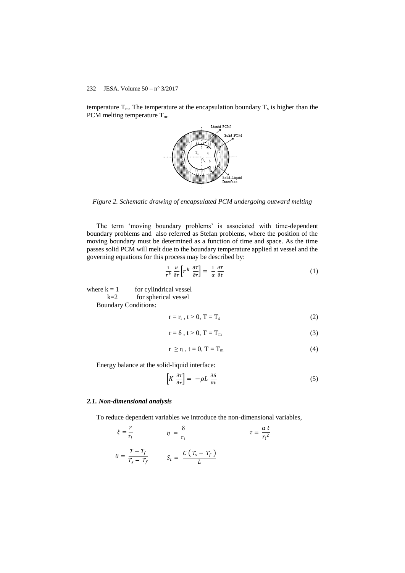temperature  $T_m$ . The temperature at the encapsulation boundary  $T_s$  is higher than the PCM melting temperature  $T_m$ .



*Figure 2. Schematic drawing of encapsulated PCM undergoing outward melting*

The term 'moving boundary problems' is associated with time-dependent boundary problems and also referred as Stefan problems, where the position of the moving boundary must be determined as a function of time and space. As the time passes solid PCM will melt due to the boundary temperature applied at vessel and the governing equations for this process may be described by:

$$
\frac{1}{r^k} \frac{\partial}{\partial r} \left[ r^k \frac{\partial r}{\partial r} \right] = \frac{1}{\alpha} \frac{\partial r}{\partial t} \tag{1}
$$

where  $k = 1$  for cylindrical vessel  $k=2$  for spherical vessel

Boundary Conditions:

$$
r = r_i, t > 0, T = T_s \tag{2}
$$

$$
r = \delta, t > 0, T = T_m \tag{3}
$$

$$
r \ge r_i, t = 0, T = T_m \tag{4}
$$

Energy balance at the solid-liquid interface:

$$
\left[K\ \frac{\partial T}{\partial r}\right] = -\rho L\ \frac{\partial \delta}{\partial t} \tag{5}
$$

#### *2.1. Non-dimensional analysis*

To reduce dependent variables we introduce the non-dimensional variables,

$$
\xi = \frac{r}{r_i} \qquad \eta = \frac{\delta}{r_i} \qquad \tau = \frac{\alpha t}{r_i^2}
$$
\n
$$
\theta = \frac{T - T_f}{T_s - T_f} \qquad S_t = \frac{C (T_s - T_f)}{L}
$$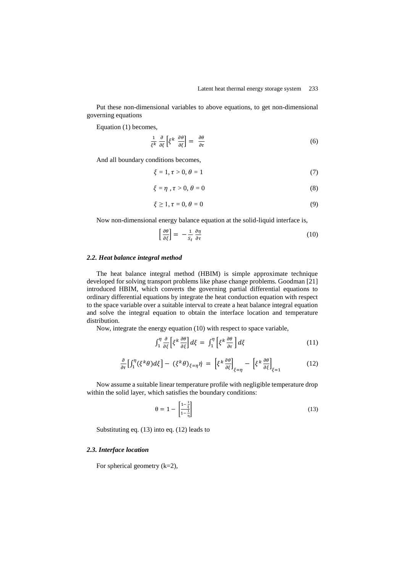Put these non-dimensional variables to above equations, to get non-dimensional governing equations

Equation (1) becomes,

$$
\frac{1}{\xi k} \frac{\partial}{\partial \xi} \left[ \xi^k \frac{\partial \theta}{\partial \xi} \right] = \frac{\partial \theta}{\partial \tau}
$$
\n(6)

And all boundary conditions becomes,

$$
\xi = 1, \tau > 0, \theta = 1 \tag{7}
$$

$$
\xi = \eta \, , \tau > 0, \, \theta = 0 \tag{8}
$$

$$
\xi \ge 1, \tau = 0, \theta = 0 \tag{9}
$$

Now non-dimensional energy balance equation at the solid-liquid interface is,

$$
\left[\frac{\partial \theta}{\partial \xi}\right] = -\frac{1}{S_t} \frac{\partial \eta}{\partial \tau} \tag{10}
$$

### *2.2. Heat balance integral method*

The heat balance integral method (HBIM) is simple approximate technique developed for solving transport problems like phase change problems. Goodman [21] introduced HBIM, which converts the governing partial differential equations to ordinary differential equations by integrate the heat conduction equation with respect to the space variable over a suitable interval to create a heat balance integral equation and solve the integral equation to obtain the interface location and temperature distribution.

Now, integrate the energy equation (10) with respect to space variable,

$$
\int_{1}^{\eta} \frac{\partial}{\partial \xi} \left[ \xi^{k} \frac{\partial \theta}{\partial \xi} \right] d\xi = \int_{1}^{\eta} \left[ \xi^{k} \frac{\partial \theta}{\partial \tau} \right] d\xi \tag{11}
$$

$$
\frac{\partial}{\partial \tau} \left[ \int_1^{\eta} (\xi^k \theta) d\xi \right] - (\xi^k \theta)_{\xi = \eta} \dot{\eta} = \left[ \xi^k \frac{\partial \theta}{\partial \xi} \right]_{\xi = \eta} - \left[ \xi^k \frac{\partial \theta}{\partial \xi} \right]_{\xi = 1}
$$
(12)

Now assume a suitable linear temperature profile with negligible temperature drop within the solid layer, which satisfies the boundary conditions:

$$
\theta = 1 - \left[ \frac{1 - \frac{1}{\xi}}{1 - \frac{1}{\eta}} \right] \tag{13}
$$

Substituting eq. (13) into eq. (12) leads to

# *2.3. Interface location*

For spherical geometry  $(k=2)$ ,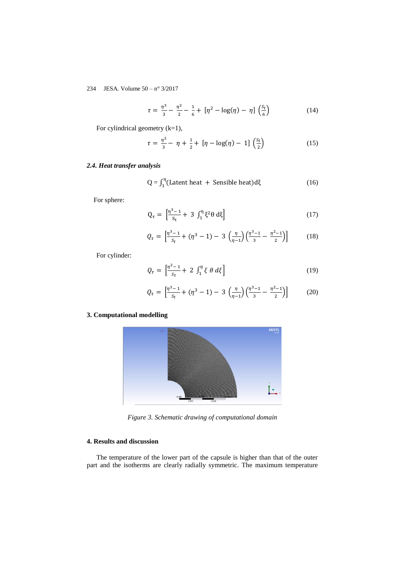$$
\tau = \frac{\eta^3}{3} - \frac{\eta^2}{2} - \frac{1}{6} + [\eta^2 - \log(\eta) - \eta] \left(\frac{s_t}{6}\right)
$$
 (14)

For cylindrical geometry (k=1),

$$
\tau = \frac{\eta^2}{3} - \eta + \frac{1}{2} + [\eta - \log(\eta) - 1] \left(\frac{s_t}{2}\right)
$$
 (15)

# *2.4. Heat transfer analysis*

$$
Q = \int_1^\eta (Latent heat + Sensible heat) d\xi
$$
 (16)

For sphere:

$$
Q_{\tau} = \left[\frac{n^3 - 1}{s_t} + 3 \int_1^{\eta} \xi^2 \theta \, d\xi\right]
$$
 (17)

$$
Q_{\tau} = \left[ \frac{\eta^3 - 1}{s_t} + (\eta^3 - 1) - 3 \left( \frac{\eta}{\eta - 1} \right) \left( \frac{\eta^3 - 1}{3} - \frac{\eta^2 - 1}{2} \right) \right]
$$
 (18)

For cylinder:

$$
Q_{\tau} = \left[\frac{\eta^2 - 1}{s_t} + 2 \int_1^{\eta} \xi \theta \, d\xi\right]
$$
 (19)

$$
Q_{\tau} = \left[ \frac{\eta^3 - 1}{s_t} + (\eta^3 - 1) - 3 \left( \frac{\eta}{\eta - 1} \right) \left( \frac{\eta^3 - 1}{3} - \frac{\eta^2 - 1}{2} \right) \right]
$$
 (20)

# **3. Computational modelling**



*Figure 3. Schematic drawing of computational domain*

## **4. Results and discussion**

The temperature of the lower part of the capsule is higher than that of the outer part and the isotherms are clearly radially symmetric. The maximum temperature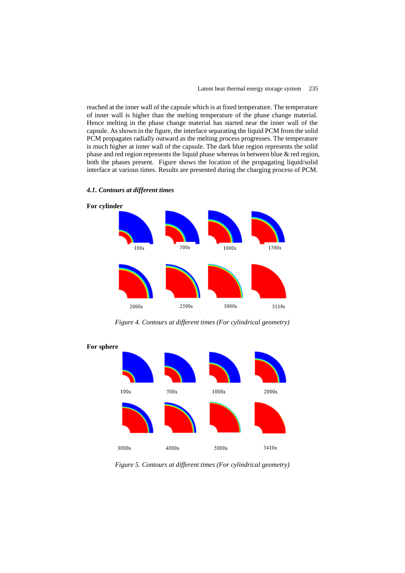reached at the inner wall of the capsule which is at fixed temperature. The temperature of inner wall is higher than the melting temperature of the phase change material. Hence melting in the phase change material has started near the inner wall of the capsule. As shown in the figure, the interface separating the liquid PCM from the solid PCM propagates radially outward as the melting process progresses. The temperature is much higher at inner wall of the capsule. The dark blue region represents the solid phase and red region represents the liquid phase whereas in between blue & red region, both the phases present. Figure shows the location of the propagating liquid/solid interface at various times. Results are presented during the charging process of PCM.



*4.1. Contours at different times* 

*Figure 4. Contours at different times (For cylindrical geometry)*



*Figure 5. Contours at different times (For cylindrical geometry)*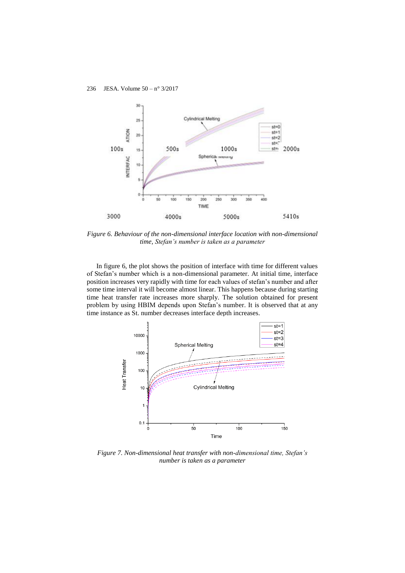

*Figure 6. Behaviour of the non-dimensional interface location with non-dimensional time, Stefan's number is taken as a parameter*

In figure 6, the plot shows the position of interface with time for different values of Stefan's number which is a non-dimensional parameter. At initial time, interface position increases very rapidly with time for each values of stefan's number and after some time interval it will become almost linear. This happens because during starting time heat transfer rate increases more sharply. The solution obtained for present problem by using HBIM depends upon Stefan's number. It is observed that at any time instance as St. number decreases interface depth increases.



*Figure 7. Non-dimensional heat transfer with non-dimensional time, Stefan's number is taken as a parameter*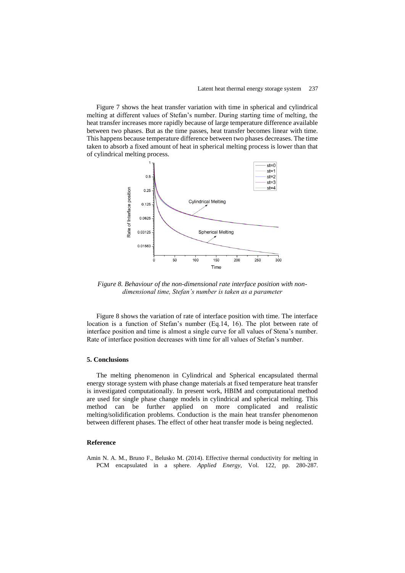Figure 7 shows the heat transfer variation with time in spherical and cylindrical melting at different values of Stefan's number. During starting time of melting, the heat transfer increases more rapidly because of large temperature difference available between two phases. But as the time passes, heat transfer becomes linear with time. This happens because temperature difference between two phases decreases. The time taken to absorb a fixed amount of heat in spherical melting process is lower than that of cylindrical melting process.



*Figure 8. Behaviour of the non-dimensional rate interface position with nondimensional time, Stefan's number is taken as a parameter*

Figure 8 shows the variation of rate of interface position with time. The interface location is a function of Stefan's number (Eq.14, 16). The plot between rate of interface position and time is almost a single curve for all values of Stena's number. Rate of interface position decreases with time for all values of Stefan's number.

#### **5. Conclusions**

The melting phenomenon in Cylindrical and Spherical encapsulated thermal energy storage system with phase change materials at fixed temperature heat transfer is investigated computationally. In present work, HBIM and computational method are used for single phase change models in cylindrical and spherical melting. This method can be further applied on more complicated and realistic melting/solidification problems. Conduction is the main heat transfer phenomenon between different phases. The effect of other heat transfer mode is being neglected.

#### **Reference**

Amin N. A. M., Bruno F., Belusko M. (2014). Effective thermal conductivity for melting in PCM encapsulated in a sphere. *Applied Energy*, Vol. 122, pp. 280-287.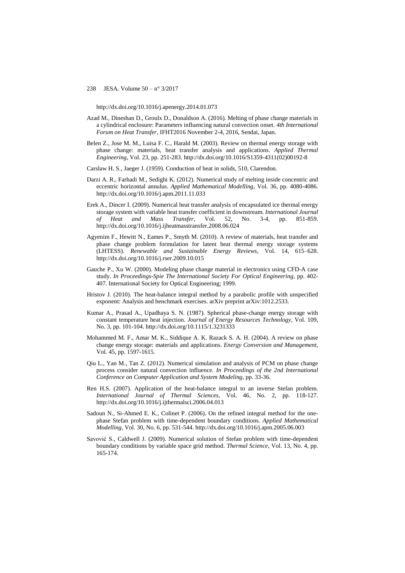http://dx.doi.org/10.1016/j.apenergy.2014.01.073

- Azad M., Dineshan D., Groulx D., Donaldson A. (2016). Melting of phase change materials in a cylindrical enclosure: Parameters influencing natural convection onset. *4th International Forum on Heat Transfer*, IFHT2016 November 2-4, 2016, Sendai, Japan.
- Belen Z., Jose M. M., Luisa F. C., Harald M. (2003). Review on thermal energy storage with phase change: materials, heat transfer analysis and applications. *Applied Thermal Engineering*, Vol. 23, pp. 251-283. http://dx.doi.org/10.1016/S1359-4311(02)00192-8
- Carslaw H. S., Jaeger J. (1959). Conduction of heat in solids, 510, Clarendon.
- Darzi A. R., Farhadi M., Sedighi K. (2012). Numerical study of melting inside concentric and eccentric horizontal annulus. *Applied Mathematical Modelling*, Vol. 36, pp. 4080-4086. http://dx.doi.org/10.1016/j.apm.2011.11.033
- Erek A., Dincer I. (2009). Numerical heat transfer analysis of encapsulated ice thermal energy storage system with variable heat transfer coefficient in downstream. *International Journal of Heat and Mass Transfer*, Vol. 52, No. 3-4, pp. 851-859. http://dx.doi.org/10.1016/j.ijheatmasstransfer.2008.06.024
- Agyenim F., Hewitt N., Eames P., Smyth M. (2010). A review of materials, heat transfer and phase change problem formulation for latent heat thermal energy storage systems (LHTESS). *Renewable and Sustainable Energy Reviews*, Vol. 14, 615–628. http://dx.doi.org/10.1016/j.rser.2009.10.015
- Gauche P., Xu W. (2000). Modeling phase change material in electronics using CFD-A case study. *In Proceedings-Spie The International Society For Optical Engineering*, pp. 402- 407. International Society for Optical Engineering; 1999.
- Hristov J. (2010). The heat-balance integral method by a parabolic profile with unspecified exponent: Analysis and benchmark exercises. arXiv preprint arXiv:1012.2533.
- Kumar A., Prasad A., Upadhaya S. N. (1987). Spherical phase-change energy storage with constant temperature heat injection. *Journal of Energy Resources Technology*, Vol. 109, No. 3, pp. 101-104. http://dx.doi.org/10.1115/1.3231333
- Mohammed M. F., Amar M. K., Siddique A. K. Razack S. A. H. (2004). A review on phase change energy storage: materials and applications. *Energy Conversion and Management*, Vol. 45, pp. 1597-1615.
- Qiu L., Yan M., Tan Z. (2012). Numerical simulation and analysis of PCM on phase change process consider natural convection influence. *In Proceedings of the 2nd International Conference on Computer Application and System Modeling*, pp. 33-36.
- Ren H.S. (2007). Application of the heat-balance integral to an inverse Stefan problem. *International Journal of Thermal Sciences*, Vol. 46, No. 2, pp. 118-127. http://dx.doi.org/10.1016/j.ijthermalsci.2006.04.013
- Sadoun N., Si-Ahmed E. K., Colinet P. (2006). On the refined integral method for the onephase Stefan problem with time-dependent boundary conditions. *Applied Mathematical Modelling*, Vol. 30, No. 6, pp. 531-544. http://dx.doi.org/10.1016/j.apm.2005.06.003
- Savović S., Caldwell J. (2009). Numerical solution of Stefan problem with time-dependent boundary conditions by variable space grid method. *Thermal Science*, Vol. 13, No. 4, pp. 165-174.